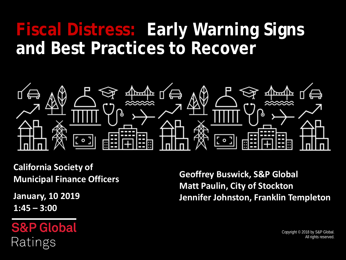# **Fiscal Distress: Early Warning Signs and Best Practices to Recover**



**California Society of Municipal Finance Officers**

**January, 10 2019 1:45 – 3:00**

**S&P Global** Ratings

**Geoffrey Buswick, S&P Global Matt Paulin, City of Stockton Jennifer Johnston, Franklin Templeton**

> Copyright © 2018 by S&P Global. All rights reserved.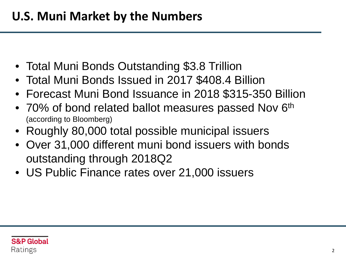- Total Muni Bonds Outstanding \$3.8 Trillion
- Total Muni Bonds Issued in 2017 \$408.4 Billion
- Forecast Muni Bond Issuance in 2018 \$315-350 Billion
- 70% of bond related ballot measures passed Nov 6<sup>th</sup> (according to Bloomberg)
- Roughly 80,000 total possible municipal issuers
- Over 31,000 different muni bond issuers with bonds outstanding through 2018Q2
- US Public Finance rates over 21,000 issuers

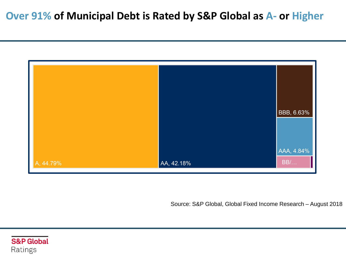#### **Over 91% of Municipal Debt is Rated by S&P Global as A- or Higher**



Source: S&P Global, Global Fixed Income Research – August 2018

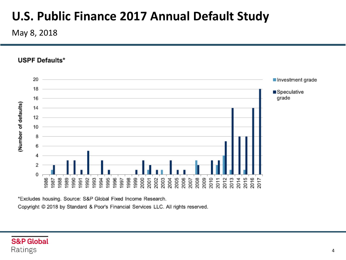# **U.S. Public Finance 2017 Annual Default Study**

May 8, 2018

**USPF Defaults\*** 



\*Excludes housing. Source: S&P Global Fixed Income Research. Copyright © 2018 by Standard & Poor's Financial Services LLC. All rights reserved.

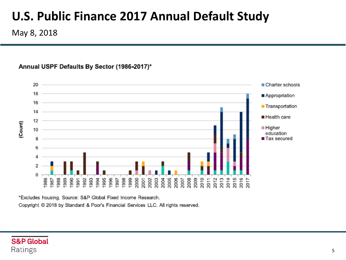# **U.S. Public Finance 2017 Annual Default Study**

May 8, 2018

#### Annual USPF Defaults By Sector (1986-2017)\*



\*Excludes housing. Source: S&P Global Fixed Income Research.

Copyright @ 2018 by Standard & Poor's Financial Services LLC. All rights reserved.

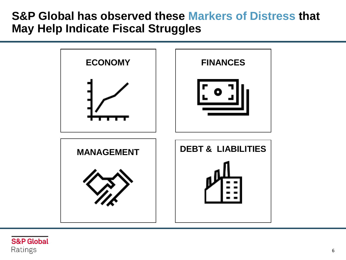#### **S&P Global has observed these Markers of Distress that May Help Indicate Fiscal Struggles**



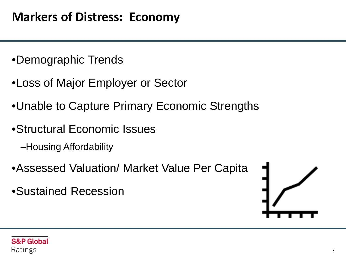- •Demographic Trends
- •Loss of Major Employer or Sector
- •Unable to Capture Primary Economic Strengths
- •Structural Economic Issues
	- –Housing Affordability
- •Assessed Valuation/ Market Value Per Capita
- •Sustained Recession



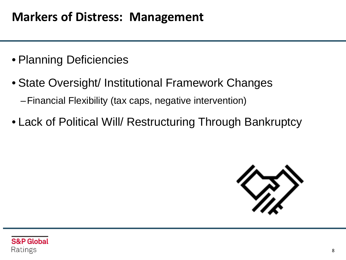### **Markers of Distress: Management**

- Planning Deficiencies
- State Oversight/ Institutional Framework Changes –Financial Flexibility (tax caps, negative intervention)
- Lack of Political Will/ Restructuring Through Bankruptcy



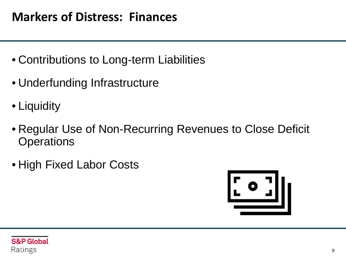### **Markers of Distress: Finances**

- Contributions to Long-term Liabilities
- Underfunding Infrastructure
- Liquidity
- Regular Use of Non-Recurring Revenues to Close Deficit **Operations**
- High Fixed Labor Costs



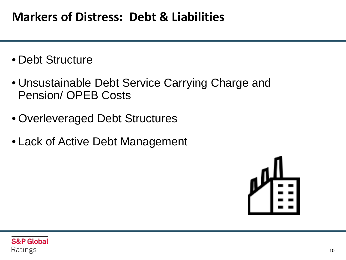#### **Markers of Distress: Debt & Liabilities**

- Debt Structure
- Unsustainable Debt Service Carrying Charge and Pension/ OPEB Costs
- Overleveraged Debt Structures
- Lack of Active Debt Management



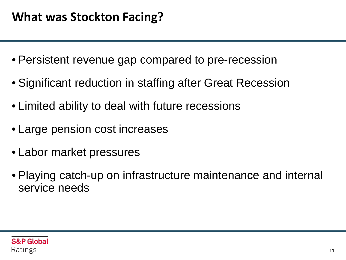- Persistent revenue gap compared to pre-recession
- Significant reduction in staffing after Great Recession
- Limited ability to deal with future recessions
- Large pension cost increases
- Labor market pressures
- Playing catch-up on infrastructure maintenance and internal service needs

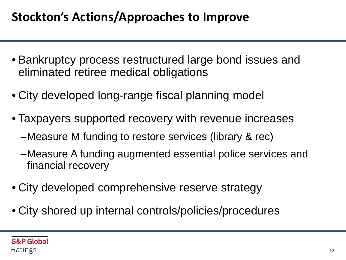# **Stockton's Actions/Approaches to Improve**

- Bankruptcy process restructured large bond issues and eliminated retiree medical obligations
- City developed long-range fiscal planning model
- Taxpayers supported recovery with revenue increases
	- –Measure M funding to restore services (library & rec)
	- –Measure A funding augmented essential police services and financial recovery
- City developed comprehensive reserve strategy
- City shored up internal controls/policies/procedures

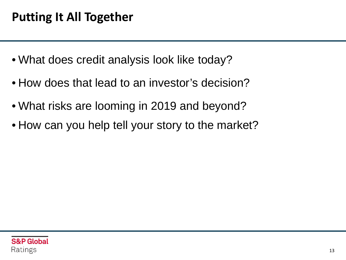- What does credit analysis look like today?
- How does that lead to an investor's decision?
- What risks are looming in 2019 and beyond?
- How can you help tell your story to the market?